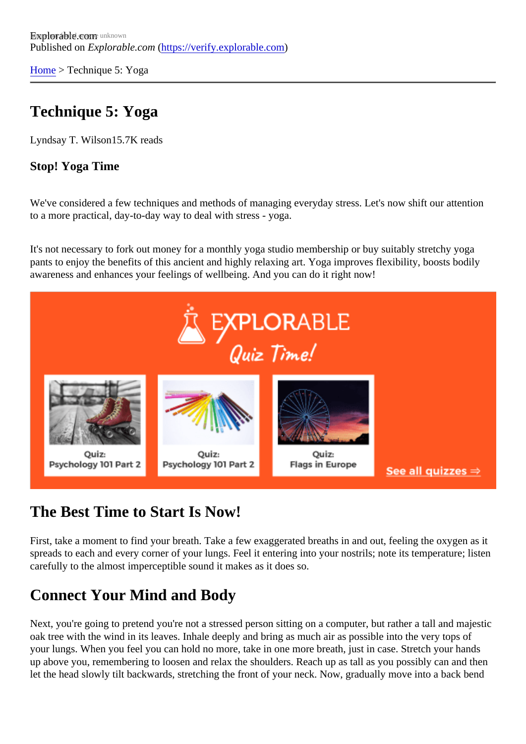[Home](https://verify.explorable.com/) > Technique 5: Yoga

# Technique 5: Yoga

Lyndsay T. Wilson 5.7K reads

Stop! Yoga Time

We've considered a few techniques and methods of managing everyday stress. Let's now shift our attentic to a more practical, day-to-day way to deal with stress - yoga.

It's not necessary to fork out money for a monthly yoga studio membership or buy suitably stretchy yoga pants to enjoy the benefits of this ancient and highly relaxing art. Yoga improves flexibility, boosts bodily awareness and enhances your feelings of wellbeing. And you can do it right now!

### The Best Time to Start Is Now!

First, take a moment to find your breath. Take a few exaggerated breaths in and out, feeling the oxygen as spreads to each and every corner of your lungs. Feel it entering into your nostrils; note its temperature; list carefully to the almost imperceptible sound it makes as it does so.

### Connect Your Mind and Body

Next, you're going to pretend you're not a stressed person sitting on a computer, but rather a tall and maje oak tree with the wind in its leaves. Inhale deeply and bring as much air as possible into the very tops of your lungs. When you feel you can hold no more, take in one more breath, just in case. Stretch your hand: up above you, remembering to loosen and relax the shoulders. Reach up as tall as you possibly can and t let the head slowly tilt backwards, stretching the front of your neck. Now, gradually move into a back bend